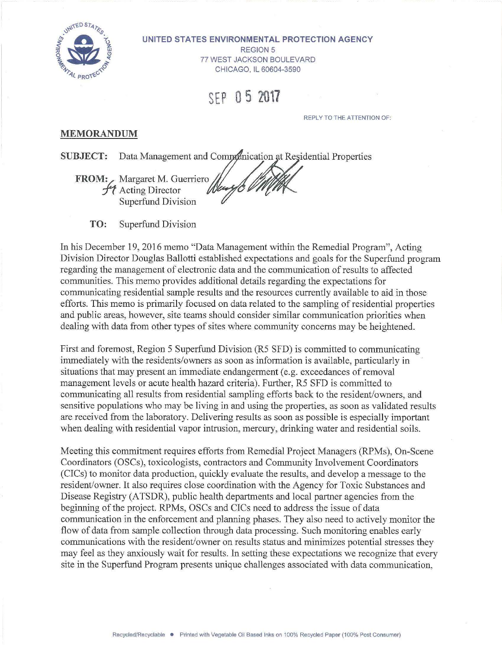

**UNITED STATES ENVIRONMENTAL PROTECTION AGENCY**  REGION 5 77 WEST JACKSON BOULEVARD CHICAGO, IL 60604-3590

# **SEP O 5 2017**

REPLY TO THE ATTENTION OF:

## **MEMORANDUM**

**SUBJECT:** Data Management and Communication at Residential Properties agement and Communication at Reside<br>M. Guerriero *Musefo MMM* 

**FROM:** Margaret *ff* Acting Director Superfund Division

**TO:** Superfund Division

In his December 19, 2016 memo "Data Management within the Remedial Program", Acting Division Director Douglas Ballotti established expectations and goals for the Superfund program regarding the management of electronic data and the communication of results to affected communities. This memo provides additional details regarding the expectations for communicating residential sample results and the resources currently available to aid in those efforts. This memo is primarily focused on data related to the sampling of residential properties and public areas, however, site teams should consider similar communication priorities when dealing with data from other types of sites where community concerns may be heightened.

First and foremost, Region 5 Superfund Division (R5 SFD) is committed to communicating immediately with the residents/owners as soon as information is available, particularly in situations that may present an immediate endangerment (e.g. exceedances of removal management levels or acute health hazard criteria). Further, R5 SFD is committed to communicating all results from residential sampling efforts back to the resident/owners, and sensitive populations who may be living in and using the properties, as soon as validated results are received from the laboratory. Delivering results as soon as possible is especially important when dealing with residential vapor intrusion, mercury, drinking water and residential soils.

Meeting this commitment requires efforts from Remedial Project Managers (RPMs), On-Scene Coordinators (OSCs), toxicologists, contractors and Community Involvement Coordinators (CICs) to monitor data production, quickly evaluate the results, and develop a message to the resident/owner. It also requires close coordination with the Agency for Toxic Substances and Disease Registry (ATSDR), public health departments and local partner agencies from the beginning of the project. RPMs, OSCs and CICs need to address the issue of data communication in the enforcement and planning phases. They also need to actively monitor the flow of data from sample collection through data processing. Such monitoring enables early communications with the resident/owner on results status and minimizes potential stresses they may feel as they anxiously wait for results. In setting these expectations we recognize that every site in the Superfund Program presents unique challenges associated with data communication,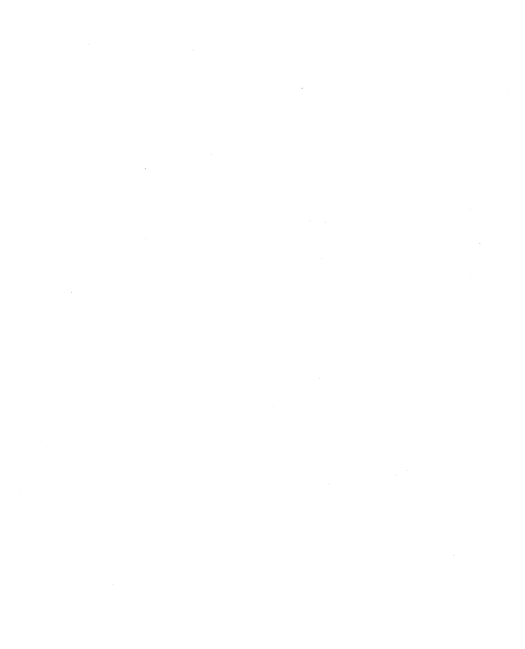$\label{eq:2} \frac{1}{2} \sum_{i=1}^n \frac{1}{2} \sum_{j=1}^n \frac{1}{2} \sum_{j=1}^n \frac{1}{2} \sum_{j=1}^n \frac{1}{2} \sum_{j=1}^n \frac{1}{2} \sum_{j=1}^n \frac{1}{2} \sum_{j=1}^n \frac{1}{2} \sum_{j=1}^n \frac{1}{2} \sum_{j=1}^n \frac{1}{2} \sum_{j=1}^n \frac{1}{2} \sum_{j=1}^n \frac{1}{2} \sum_{j=1}^n \frac{1}{2} \sum_{j=1}^n \frac{1}{$  $\label{eq:2.1} \frac{1}{\sqrt{2}}\int_{\mathbb{R}^3}\frac{1}{\sqrt{2}}\left(\frac{1}{\sqrt{2}}\right)^2\frac{1}{\sqrt{2}}\left(\frac{1}{\sqrt{2}}\right)^2\frac{1}{\sqrt{2}}\left(\frac{1}{\sqrt{2}}\right)^2\frac{1}{\sqrt{2}}\left(\frac{1}{\sqrt{2}}\right)^2\frac{1}{\sqrt{2}}\left(\frac{1}{\sqrt{2}}\right)^2\frac{1}{\sqrt{2}}\frac{1}{\sqrt{2}}\frac{1}{\sqrt{2}}\frac{1}{\sqrt{2}}\frac{1}{\sqrt{2}}\frac{1}{\sqrt{2}}$ 

 $\label{eq:2.1} \frac{1}{\sqrt{2}}\int_{\mathbb{R}^3}\frac{d\mu}{\sqrt{2}}\left(\frac{d\mu}{2}\right)^2\frac{d\mu}{2}d\mu\int_{\mathbb{R}^3}\frac{d\mu}{\sqrt{2}}\left(\frac{d\mu}{2}\right)^2\frac{d\mu}{2}d\mu\int_{\mathbb{R}^3}\frac{d\mu}{2}d\mu\int_{\mathbb{R}^3}\frac{d\mu}{2}d\mu\int_{\mathbb{R}^3}\frac{d\mu}{2}d\mu\int_{\mathbb{R}^3}\frac{d\mu}{2}d\mu\int_{\mathbb{R}^3$ 

 $\label{eq:2.1} \begin{split} \mathcal{L}_{\text{max}}(\mathbf{r},\mathbf{r}) = \mathcal{L}_{\text{max}}(\mathbf{r},\mathbf{r}) \,,\\ \mathcal{L}_{\text{max}}(\mathbf{r},\mathbf{r}) = \mathcal{L}_{\text{max}}(\mathbf{r},\mathbf{r}) \,, \end{split}$ 

 $\mathcal{L}_{\mathcal{A}}$ 

 $\label{eq:2.1} \frac{1}{\sqrt{2}}\sum_{i=1}^n\frac{1}{\sqrt{2}}\sum_{i=1}^n\frac{1}{\sqrt{2}}\sum_{i=1}^n\frac{1}{\sqrt{2}}\sum_{i=1}^n\frac{1}{\sqrt{2}}\sum_{i=1}^n\frac{1}{\sqrt{2}}\sum_{i=1}^n\frac{1}{\sqrt{2}}\sum_{i=1}^n\frac{1}{\sqrt{2}}\sum_{i=1}^n\frac{1}{\sqrt{2}}\sum_{i=1}^n\frac{1}{\sqrt{2}}\sum_{i=1}^n\frac{1}{\sqrt{2}}\sum_{i=1}^n\frac$ 

 $\label{eq:2.1} \mathcal{L}(\mathcal{L}(\mathcal{L})) = \mathcal{L}(\mathcal{L}(\mathcal{L})) = \mathcal{L}(\mathcal{L}(\mathcal{L})) = \mathcal{L}(\mathcal{L}(\mathcal{L}))$  $\label{eq:2.1} \frac{1}{\sqrt{2}}\left(\frac{1}{\sqrt{2}}\right)^{2} \left(\frac{1}{\sqrt{2}}\right)^{2} \left(\frac{1}{\sqrt{2}}\right)^{2} \left(\frac{1}{\sqrt{2}}\right)^{2} \left(\frac{1}{\sqrt{2}}\right)^{2} \left(\frac{1}{\sqrt{2}}\right)^{2} \left(\frac{1}{\sqrt{2}}\right)^{2} \left(\frac{1}{\sqrt{2}}\right)^{2} \left(\frac{1}{\sqrt{2}}\right)^{2} \left(\frac{1}{\sqrt{2}}\right)^{2} \left(\frac{1}{\sqrt{2}}\right)^{2} \left(\$ 

 $\label{eq:2.1} \frac{1}{\sqrt{2}}\int_{0}^{\infty}\frac{1}{\sqrt{2\pi}}\left(\frac{1}{\sqrt{2\pi}}\right)^{2}d\mu\left(\frac{1}{\sqrt{2\pi}}\right) \frac{d\mu}{\sqrt{2\pi}}\left(\frac{1}{\sqrt{2\pi}}\right)^{2}d\mu\left(\frac{1}{\sqrt{2\pi}}\right).$ 

 $\label{eq:2.1} \mathcal{L}(\mathcal{L}^{\text{c}}_{\text{c}}) = \mathcal{L}(\mathcal{L}^{\text{c}}_{\text{c}}) = \mathcal{L}(\mathcal{L}^{\text{c}}_{\text{c}})$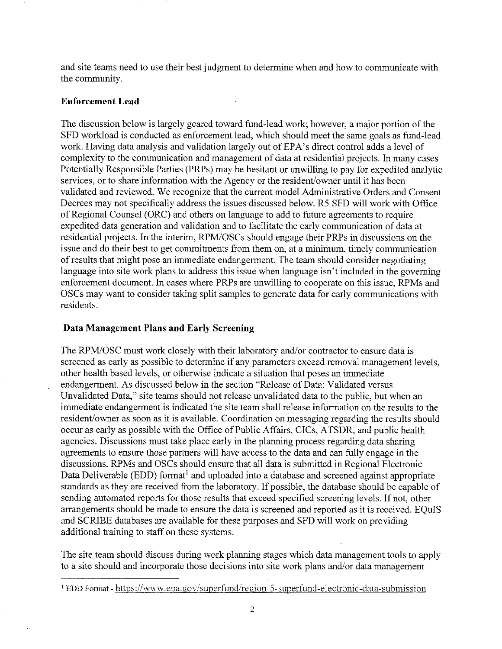and site teams need to use their best judgment to determine when and how to communicate with the cormnunity.

### **Enforcement Lead**

The discussion below is largely geared toward fund-lead work; however, a major portion of the SFD workload is conducted as enforcement lead, which should meet the same goals as fund-lead work. Having data analysis and validation largely out of EPA's direct control adds a level of complexity to the communication and management of data at residential projects. In many cases Potentially Responsible Parties (PRPs) may be hesitant or unwilling to pay for expedited analytic services, or to share information with the Agency or the resident/owner until it has been validated and reviewed. We recognize that the current model Administrative Orders and Consent Decrees may not specifically address the issues discussed below. R5 SFD will work with Office of Regional Counsel (ORC) and others on language to add to future agreements to require expedited data generation and validation and to facilitate the early communication of data at residential projects. In the interim, RPM/OSCs should engage their PRPs in discussions on the issue and do their best to get commitments from them on, at a minimum, timely communication of results that might pose an immediate endangerment. The team should consider negotiating language into site work plans to address this issue when language isn't included in the governing enforcement document. In cases where PRPs are unwilling to cooperate on this issue, RPMs and OSCs may want to consider taking split samples to generate data for early communications with residents.

## **Data Management Plans and Early Screening**

The RPM/OSC must work closely with their laboratory and/or contractor to ensure data is screened as early as possible to determine if any parameters exceed removal management levels, other health based levels, or otherwise indicate a situation that poses an immediate endangerment. As discussed below in the section "Release of Data: Validated versus Unvalidated Data," site teams should not release unvalidated data to the public, but when an immediate endangerment is indicated the site team shall release information on the results to the resident/owner as soon as it is available. Coordination on messaging regarding the results should occur as early as possible with the Office of Public Affairs, CICs, ATSDR, and public health agencies. Discussions must take place early in the planning process regarding data sharing agreements to ensure those partners will have access to the data and can fully engage in the discussions. RPMs and OSCs should ensure that all data is submitted in Regional Electronic Data Deliverable (EDD) format<sup>1</sup> and uploaded into a database and screened against appropriate standards as they are received from the laboratory. If possible, the database should be capable of sending automated reports for those results that exceed specified screening levels. If not, other arrangements should be made to ensure the data is screened and reported as it is received. EQuIS and SCRIBE databases are available for these purposes and SFD will work on providing additional training to staff on these systems.

The site team should discuss during work planning stages which data management tools to apply to a site should and incorporate those decisions into site work plans and/or data management

<sup>&</sup>lt;sup>1</sup> EDD Format - https://www.epa.gov/superfund/region-5-superfund-electronic-data-submission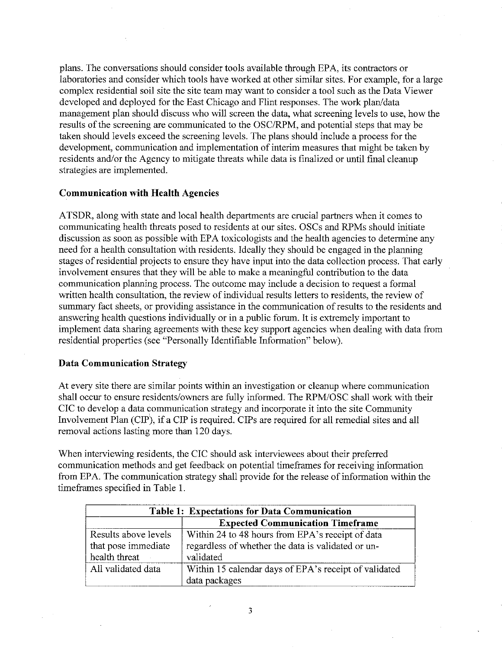plans. The conversations should consider tools available through EPA, its contractors or laboratories and consider which tools have worked at other similar sites. For example, for a large complex residential soil site the site team may want to consider a tool such as the Data Viewer developed and deployed for the East Chicago and Flint responses. The work plan/data management plan should discuss who will screen the data, what screening levels to use, how the results of the screening are communicated to the OSC/RPM, and potential steps that may be taken should levels exceed the screening levels. The plans should include a process for the development, communication and implementation of interim measures that might be taken by residents and/or the Agency to mitigate threats while data is finalized or until final cleanup strategies are implemented.

#### **Communication with Health Agencies**

ATSDR, along with state and local health departments are crucial partners when it comes to communicating health threats posed to residents at our sites. OSCs and RPMs should initiate discussion as soon as possible with EPA toxicologists and the health agencies to determine any need for a health consultation with residents. Ideally they should be engaged in the planning stages of residential projects to ensure they have input into the data collection process. That early involvement ensures that they will be able to make a meaningful contribution to the data communication planning process. The outcome may include a decision to request a formal written health consultation, the review of individual results letters to residents, the review of summary fact sheets, or providing assistance in the communication of results to the residents and answering health questions individually or in a public forum. It is extremely important to implement data sharing agreements with these key support agencies when dealing with data from residential properties (see "Personally Identifiable Information" below).

## **Data Communication Strategy**

At every site there are similar points within an investigation or cleanup where communication shall occur to ensure residents/owners are fully informed. The RPM/OSC shall work with their CIC to develop a data communication strategy and incorporate it into the site Community Involvement Plan (CIP), if a CIP is required. CIPs are required for all remedial sites and all removal actions lasting more than 120 days.

When interviewing residents, the CIC should ask interviewees about their preferred communication methods and get feedback on potential timeframes for receiving information from EPA. The communication strategy shall provide for the release of information within the timeframes specified in Table 1.

| Table 1: Expectations for Data Communication |                                                       |
|----------------------------------------------|-------------------------------------------------------|
|                                              | <b>Expected Communication Timeframe</b>               |
| Results above levels                         | Within 24 to 48 hours from EPA's receipt of data      |
| that pose immediate                          | regardless of whether the data is validated or un-    |
| health threat                                | validated                                             |
| All validated data                           | Within 15 calendar days of EPA's receipt of validated |
|                                              | data packages                                         |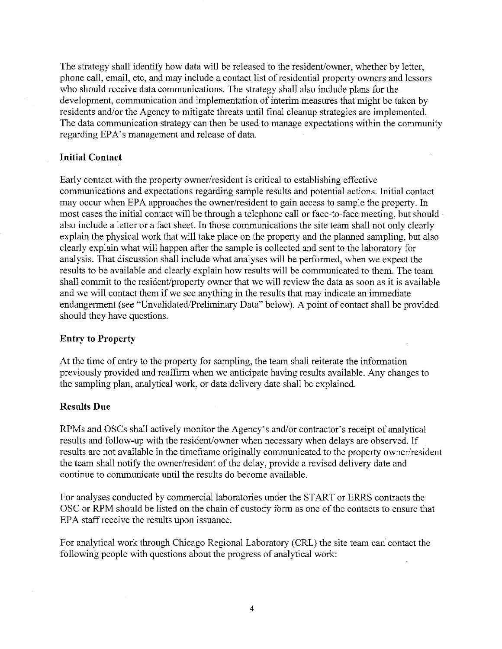The strategy shall identify how data will be released to the resident/owner, whether by letter, phone call, email, etc, and may include a contact list of residential property owners and lessors who should receive data communications. The strategy shall also include plans for the development, communication and implementation of interim measures that might be taken by residents and/or the Agency to mitigate threats until final cleanup strategies are implemented. The data communication strategy can then be used to manage expectations within the community regarding EPA's management and release of data.

#### **Initial Contact**

Early contact with the property owner/resident is critical to establishing effective communications and expectations regarding sample results and potential actions. Initial contact may occur when EPA approaches the owner/resident to gain access to sample the property. In most cases the initial contact will be through a telephone call or face-to-face meeting, but should also include a letter or a fact sheet. In those communications the site team shall not only clearly explain the physical work that will take place on the property and the planned sampling, but also clearly explain what will happen after the sample is collected and sent to the laboratory for analysis. That discussion shall include what analyses will be performed, when we expect the results to be available and clearly explain how results will be communicated to them. The team shall commit to the resident/property owner that we will review the data as soon as it is available and we will contact them if we see anything in the results that may indicate an immediate endangerment (see "Unvalidated/Preliminary Data" below). A point of contact shall be provided should they have questions.

## **Entry to Property**

At the time of entry to the property for sampling, the team shall reiterate the information previously provided and reaffirm when we anticipate having results available. Any changes to the sampling plan, analytical work, or data delivery date shall be explained.

#### **Results Due**

RPMs and OSCs shall actively monitor the Agency's and/or contractor's receipt of analytical results and follow-up with the resident/owner when necessary when delays are observed. If results are not available in the timeframe originally communicated to the property owner/resident the team shall notify the owner/resident of the delay, provide a revised delivery date and continue to communicate until the results do become available.

For analyses conducted by commercial laboratories under the START or ERRS contracts the OSC or RPM should be listed on the chain of custody form as one of the contacts to ensure that EPA staff receive the results upon issuance.

For analytical work through Chicago Regional Laboratory (CRL) the site team can contact the following people with questions about the progress of analytical work: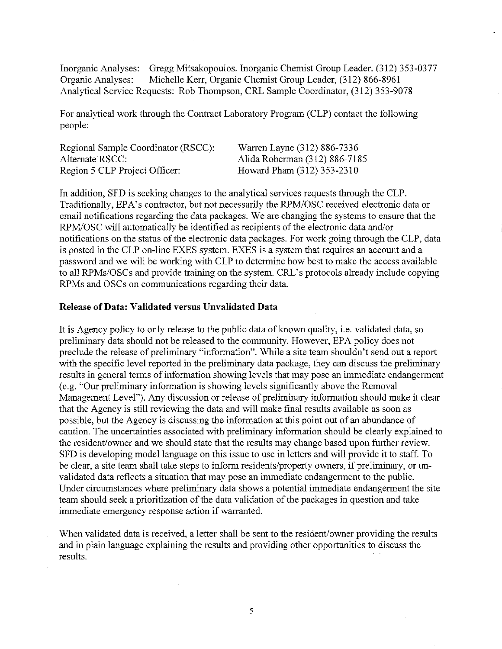Inorganic Analyses: Gregg Mitsakopoulos, Inorganic Chemist Group Leader, (312) 353-0377 Organic Analyses: Michelle Kerr, Organic Chemist Group Leader, (312) 866-8961 Analytical Service Requests: Rob Thompson, CRL Sample Coordinator, (312) 353-9078

For analytical work through the Contract Laboratory Program (CLP) contact the following people:

Regional Sample Coordinator (RSCC): Alternate RSCC: Region 5 CLP Project Officer:

Warren Layne (312) 886-7336 Alida Roberman (312) 886-7185 Howard Pham (312) 353-2310

In addition, SFD is seeking changes to the analytical services requests through the CLP. Traditionally, EPA's contractor, but not necessarily the RPM/OSC received electronic data or email notifications regarding the data packages. We are changing the systems to ensure that the RPM/OSC will automatically be identified as recipients of the electronic data and/or notifications on the status of the electronic data packages. For work going through the CLP, data is posted in the CLP on-line EXES system. EXES is a system that requires an account and a password and we will be working with CLP to determine how best to make the access available to all RPMs/OSCs and provide training on the system. CRL's protocols already include copying RPMs and OSCs on communications regarding their data.

## **Release of Data: Validated versus Unvalidated Data**

It is Agency policy to only release to the public data of known quality, i.e. validated data, so preliminary data should not be released to the community. However, EPA policy does not preclude the release of preliminary "information". While a site team shouldn't send out a report with the specific level reported in the preliminary data package, they can discuss the preliminary results in general terms of information showing levels that may pose an inrmediate endangerment ( e.g. "Our preliminary information is showing levels significantly above the Removal Management Level"). Any discussion or release of preliminary information should make it clear that the Agency is still reviewing the data and will make final results available as soon as possible, but the Agency is discussing the information at this point out of an abundance of caution. The uncertainties associated with preliminary information should be clearly explained to the resident/owner and we should state that the results may change based upon further review. SFD is developing model language on this issue to use in letters and will provide it to staff. To be clear, a site team shall take steps to inform residents/property owners, if preliminary, or unvalidated data reflects a situation that may pose an immediate endangerment to the public. Under circumstances where preliminary data shows a potential inrmediate endangerment the site team should seek a prioritization of the data validation of the packages in question and take immediate emergency response action if warranted.

When validated data is received, a letter shall be sent to the resident/owner providing the results and in plain language explaining the results and providing other opportunities to discuss the results.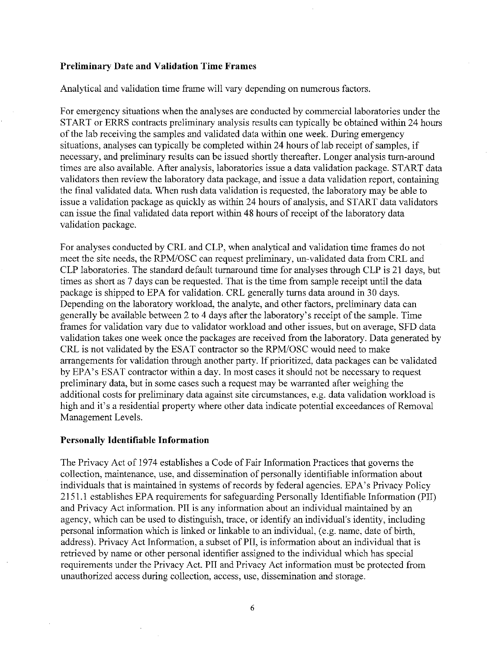#### **Preliminary Date and Validation Time Frames**

Analytical and validation time frame will vary depending on numerous factors.

For emergency situations when the analyses are conducted by commercial laboratories under the START or ERRS contracts preliminary analysis results can typically be obtained within 24 hours of the lab receiving the samples and validated data within one week. During emergency situations, analyses can typically be completed within 24 hours of lab receipt of samples, if necessary, and preliminary results can be issued shortly thereafter. Longer analysis tum-around times are also available. After analysis, laboratories issue a data validation package. START data validators then review the laboratory data package, and issue a data validation report, containing the final validated data. When rush data validation is requested, the laboratory may be able to issue a validation package as quickly as within 24 hours of analysis, and START data validators can issue the final validated data report within 48 hours of receipt of the laboratory data validation package.

For analyses conducted by CRL and CLP, when analytical and validation time frames do not meet the site needs, the RPM/OSC can request preliminary, un-validated data from CRL and CLP laboratories. The standard default turnaround time for analyses through CLP is 21 days, but times as short as 7 days can be requested. That is the time from sample receipt until the data package is shipped to EPA for validation. CRL generally turns data around in 30 days. Depending on the laboratory workload, the analyte, and other factors, preliminary data can generally be available between 2 to 4 days after the laboratory's receipt of the sample. Time frames for validation vary due to validator workload and other issues, but on average, SFD data validation takes one week once the packages are received from the laboratory. Data generated by CRL is not validated by the ESAT contractor so the RPM/OSC would need to make arrangements for validation through another party. If prioritized, data packages can be validated by EPA's ESAT contractor within a day. In most cases it should not be necessary to request preliminary data, but in some cases such a request may be warranted after weighing the additional costs for preliminary data against site circumstances, e.g. data validation workload is high and it's a residential property where other data indicate potential exceedances of Removal Management Levels.

#### **Personally Identifiable Information**

The Privacy Act of 1974 establishes a Code of Fair Information Practices that governs the collection, maintenance, use, and dissemination of personally identifiable information about individuals that is maintained in systems of records by federal agencies. EPA's Privacy Policy 2151.1 establishes EPA requirements for safeguarding Personally Identifiable Information (PII) and Privacy Act information. PII is any information about an individual maintained by an agency, which can be used to distinguish, trace, or identify an individual's identity, including personal information which is linked or linkable to an individual, (e.g. name, date of birth, address). Privacy Act Information, a subset of PII, is information about an individual that is retrieved by name or other personal identifier assigned to the individual which has special requirements under the Privacy Act. PII and Privacy Act information must be protected from unauthorized access during collection, access, use, dissemination and storage.